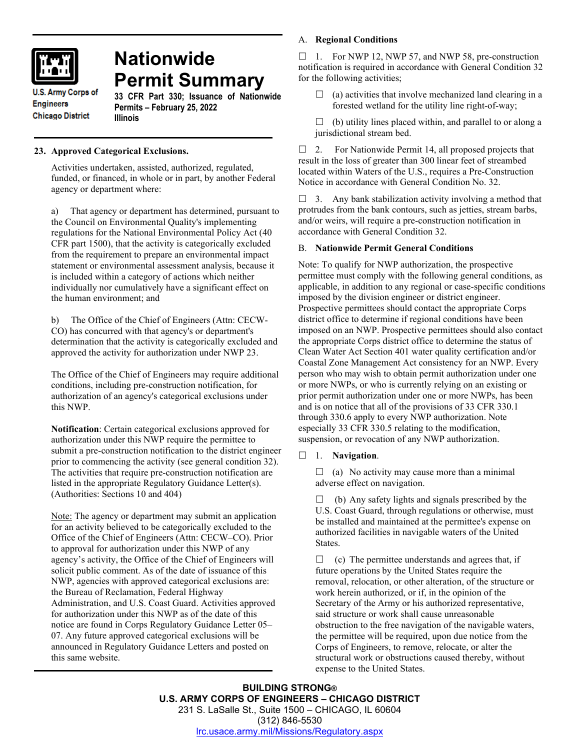

# **Nationwide Permit Summary**

**U.S. Army Corps of Engineers Chicago District** 

**33 CFR Part 330; Issuance of Nationwide Permits – February 25, 2022 Illinois**

# **23. Approved Categorical Exclusions.**

Activities undertaken, assisted, authorized, regulated, funded, or financed, in whole or in part, by another Federal agency or department where:

a) That agency or department has determined, pursuant to the Council on Environmental Quality's implementing regulations for the National Environmental Policy Act (40 CFR part 1500), that the activity is categorically excluded from the requirement to prepare an environmental impact statement or environmental assessment analysis, because it is included within a category of actions which neither individually nor cumulatively have a significant effect on the human environment; and

b) The Office of the Chief of Engineers (Attn: CECW-CO) has concurred with that agency's or department's determination that the activity is categorically excluded and approved the activity for authorization under NWP 23.

The Office of the Chief of Engineers may require additional conditions, including pre-construction notification, for authorization of an agency's categorical exclusions under this NWP.

**Notification**: Certain categorical exclusions approved for authorization under this NWP require the permittee to submit a pre-construction notification to the district engineer prior to commencing the activity (see general condition 32). The activities that require pre-construction notification are listed in the appropriate Regulatory Guidance Letter(s). (Authorities: Sections 10 and 404)

Note: The agency or department may submit an application for an activity believed to be categorically excluded to the Office of the Chief of Engineers (Attn: CECW–CO). Prior to approval for authorization under this NWP of any agency's activity, the Office of the Chief of Engineers will solicit public comment. As of the date of issuance of this NWP, agencies with approved categorical exclusions are: the Bureau of Reclamation, Federal Highway Administration, and U.S. Coast Guard. Activities approved for authorization under this NWP as of the date of this notice are found in Corps Regulatory Guidance Letter 05– 07. Any future approved categorical exclusions will be announced in Regulatory Guidance Letters and posted on this same website.

## A. **Regional Conditions**

 $\Box$  1. For NWP 12, NWP 57, and NWP 58, pre-construction notification is required in accordance with General Condition 32 for the following activities;

- $\Box$  (a) activities that involve mechanized land clearing in a forested wetland for the utility line right-of-way;
- $\Box$  (b) utility lines placed within, and parallel to or along a jurisdictional stream bed.

 $\Box$  2. For Nationwide Permit 14, all proposed projects that result in the loss of greater than 300 linear feet of streambed located within Waters of the U.S., requires a Pre-Construction Notice in accordance with General Condition No. 32.

 $\Box$  3. Any bank stabilization activity involving a method that protrudes from the bank contours, such as jetties, stream barbs, and/or weirs, will require a pre-construction notification in accordance with General Condition 32.

## B. **Nationwide Permit General Conditions**

Note: To qualify for NWP authorization, the prospective permittee must comply with the following general conditions, as applicable, in addition to any regional or case-specific conditions imposed by the division engineer or district engineer. Prospective permittees should contact the appropriate Corps district office to determine if regional conditions have been imposed on an NWP. Prospective permittees should also contact the appropriate Corps district office to determine the status of Clean Water Act Section 401 water quality certification and/or Coastal Zone Management Act consistency for an NWP. Every person who may wish to obtain permit authorization under one or more NWPs, or who is currently relying on an existing or prior permit authorization under one or more NWPs, has been and is on notice that all of the provisions of 33 CFR 330.1 through 330.6 apply to every NWP authorization. Note especially 33 CFR 330.5 relating to the modification, suspension, or revocation of any NWP authorization.

1. **Navigation**.

 $\Box$  (a) No activity may cause more than a minimal adverse effect on navigation.

 (b) Any safety lights and signals prescribed by the U.S. Coast Guard, through regulations or otherwise, must be installed and maintained at the permittee's expense on authorized facilities in navigable waters of the United States.

 (c) The permittee understands and agrees that, if future operations by the United States require the removal, relocation, or other alteration, of the structure or work herein authorized, or if, in the opinion of the Secretary of the Army or his authorized representative, said structure or work shall cause unreasonable obstruction to the free navigation of the navigable waters, the permittee will be required, upon due notice from the Corps of Engineers, to remove, relocate, or alter the structural work or obstructions caused thereby, without expense to the United States.

**BUILDING STRONG® U.S. ARMY CORPS OF ENGINEERS – CHICAGO DISTRICT** 231 S. LaSalle St., Suite 1500 – CHICAGO, IL 60604 (312) 846-5530 [lrc.usace.army.mil/Missions/Regulatory.aspx](https://www.lrc.usace.army.mil/Missions/Regulatory.aspx)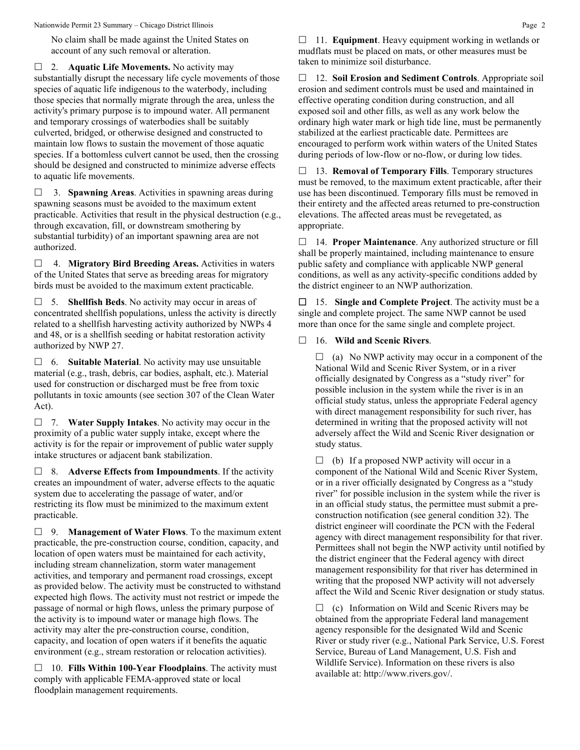No claim shall be made against the United States on account of any such removal or alteration.

□ 2. **Aquatic Life Movements.** No activity may substantially disrupt the necessary life cycle movements of those species of aquatic life indigenous to the waterbody, including those species that normally migrate through the area, unless the activity's primary purpose is to impound water. All permanent and temporary crossings of waterbodies shall be suitably culverted, bridged, or otherwise designed and constructed to maintain low flows to sustain the movement of those aquatic species. If a bottomless culvert cannot be used, then the crossing should be designed and constructed to minimize adverse effects to aquatic life movements.

 3. **Spawning Areas**. Activities in spawning areas during spawning seasons must be avoided to the maximum extent practicable. Activities that result in the physical destruction (e.g., through excavation, fill, or downstream smothering by substantial turbidity) of an important spawning area are not authorized.

 4. **Migratory Bird Breeding Areas.** Activities in waters of the United States that serve as breeding areas for migratory birds must be avoided to the maximum extent practicable.

 5. **Shellfish Beds**. No activity may occur in areas of concentrated shellfish populations, unless the activity is directly related to a shellfish harvesting activity authorized by NWPs 4 and 48, or is a shellfish seeding or habitat restoration activity authorized by NWP 27.

 6. **Suitable Material**. No activity may use unsuitable material (e.g., trash, debris, car bodies, asphalt, etc.). Material used for construction or discharged must be free from toxic pollutants in toxic amounts (see section 307 of the Clean Water Act).

 7. **Water Supply Intakes**. No activity may occur in the proximity of a public water supply intake, except where the activity is for the repair or improvement of public water supply intake structures or adjacent bank stabilization.

 8. **Adverse Effects from Impoundments**. If the activity creates an impoundment of water, adverse effects to the aquatic system due to accelerating the passage of water, and/or restricting its flow must be minimized to the maximum extent practicable.

 9. **Management of Water Flows**. To the maximum extent practicable, the pre-construction course, condition, capacity, and location of open waters must be maintained for each activity, including stream channelization, storm water management activities, and temporary and permanent road crossings, except as provided below. The activity must be constructed to withstand expected high flows. The activity must not restrict or impede the passage of normal or high flows, unless the primary purpose of the activity is to impound water or manage high flows. The activity may alter the pre-construction course, condition, capacity, and location of open waters if it benefits the aquatic environment (e.g., stream restoration or relocation activities).

 10. **Fills Within 100-Year Floodplains**. The activity must comply with applicable FEMA-approved state or local floodplain management requirements.

□ 11. **Equipment**. Heavy equipment working in wetlands or mudflats must be placed on mats, or other measures must be taken to minimize soil disturbance.

 12. **Soil Erosion and Sediment Controls**. Appropriate soil erosion and sediment controls must be used and maintained in effective operating condition during construction, and all exposed soil and other fills, as well as any work below the ordinary high water mark or high tide line, must be permanently stabilized at the earliest practicable date. Permittees are encouraged to perform work within waters of the United States during periods of low-flow or no-flow, or during low tides.

 13. **Removal of Temporary Fills**. Temporary structures must be removed, to the maximum extent practicable, after their use has been discontinued. Temporary fills must be removed in their entirety and the affected areas returned to pre-construction elevations. The affected areas must be revegetated, as appropriate.

 14. **Proper Maintenance**. Any authorized structure or fill shall be properly maintained, including maintenance to ensure public safety and compliance with applicable NWP general conditions, as well as any activity-specific conditions added by the district engineer to an NWP authorization.

 15. **Single and Complete Project**. The activity must be a single and complete project. The same NWP cannot be used more than once for the same single and complete project.

# 16. **Wild and Scenic Rivers**.

 $\Box$  (a) No NWP activity may occur in a component of the National Wild and Scenic River System, or in a river officially designated by Congress as a "study river" for possible inclusion in the system while the river is in an official study status, unless the appropriate Federal agency with direct management responsibility for such river, has determined in writing that the proposed activity will not adversely affect the Wild and Scenic River designation or study status.

 $\Box$  (b) If a proposed NWP activity will occur in a component of the National Wild and Scenic River System, or in a river officially designated by Congress as a "study river" for possible inclusion in the system while the river is in an official study status, the permittee must submit a preconstruction notification (see general condition 32). The district engineer will coordinate the PCN with the Federal agency with direct management responsibility for that river. Permittees shall not begin the NWP activity until notified by the district engineer that the Federal agency with direct management responsibility for that river has determined in writing that the proposed NWP activity will not adversely affect the Wild and Scenic River designation or study status.

 $\Box$  (c) Information on Wild and Scenic Rivers may be obtained from the appropriate Federal land management agency responsible for the designated Wild and Scenic River or study river (e.g., National Park Service, U.S. Forest Service, Bureau of Land Management, U.S. Fish and Wildlife Service). Information on these rivers is also available at: http://www.rivers.gov/.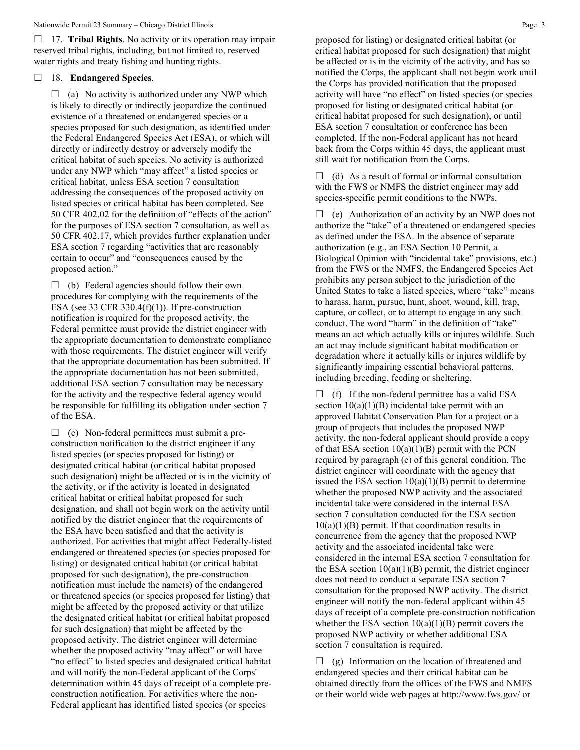17. **Tribal Rights**. No activity or its operation may impair reserved tribal rights, including, but not limited to, reserved water rights and treaty fishing and hunting rights.

## 18. **Endangered Species**.

 $\Box$  (a) No activity is authorized under any NWP which is likely to directly or indirectly jeopardize the continued existence of a threatened or endangered species or a species proposed for such designation, as identified under the Federal Endangered Species Act (ESA), or which will directly or indirectly destroy or adversely modify the critical habitat of such species. No activity is authorized under any NWP which "may affect" a listed species or critical habitat, unless ESA section 7 consultation addressing the consequences of the proposed activity on listed species or critical habitat has been completed. See 50 CFR 402.02 for the definition of "effects of the action" for the purposes of ESA section 7 consultation, as well as 50 CFR 402.17, which provides further explanation under ESA section 7 regarding "activities that are reasonably certain to occur" and "consequences caused by the proposed action."

 $\Box$  (b) Federal agencies should follow their own procedures for complying with the requirements of the ESA (see 33 CFR 330.4 $(f)(1)$ ). If pre-construction notification is required for the proposed activity, the Federal permittee must provide the district engineer with the appropriate documentation to demonstrate compliance with those requirements. The district engineer will verify that the appropriate documentation has been submitted. If the appropriate documentation has not been submitted, additional ESA section 7 consultation may be necessary for the activity and the respective federal agency would be responsible for fulfilling its obligation under section 7 of the ESA.

 $\Box$  (c) Non-federal permittees must submit a preconstruction notification to the district engineer if any listed species (or species proposed for listing) or designated critical habitat (or critical habitat proposed such designation) might be affected or is in the vicinity of the activity, or if the activity is located in designated critical habitat or critical habitat proposed for such designation, and shall not begin work on the activity until notified by the district engineer that the requirements of the ESA have been satisfied and that the activity is authorized. For activities that might affect Federally-listed endangered or threatened species (or species proposed for listing) or designated critical habitat (or critical habitat proposed for such designation), the pre-construction notification must include the name(s) of the endangered or threatened species (or species proposed for listing) that might be affected by the proposed activity or that utilize the designated critical habitat (or critical habitat proposed for such designation) that might be affected by the proposed activity. The district engineer will determine whether the proposed activity "may affect" or will have "no effect" to listed species and designated critical habitat and will notify the non-Federal applicant of the Corps' determination within 45 days of receipt of a complete preconstruction notification. For activities where the non-Federal applicant has identified listed species (or species

proposed for listing) or designated critical habitat (or critical habitat proposed for such designation) that might be affected or is in the vicinity of the activity, and has so notified the Corps, the applicant shall not begin work until the Corps has provided notification that the proposed activity will have "no effect" on listed species (or species proposed for listing or designated critical habitat (or critical habitat proposed for such designation), or until ESA section 7 consultation or conference has been completed. If the non-Federal applicant has not heard back from the Corps within 45 days, the applicant must still wait for notification from the Corps.

 $\Box$  (d) As a result of formal or informal consultation with the FWS or NMFS the district engineer may add species-specific permit conditions to the NWPs.

 $\Box$  (e) Authorization of an activity by an NWP does not authorize the "take" of a threatened or endangered species as defined under the ESA. In the absence of separate authorization (e.g., an ESA Section 10 Permit, a Biological Opinion with "incidental take" provisions, etc.) from the FWS or the NMFS, the Endangered Species Act prohibits any person subject to the jurisdiction of the United States to take a listed species, where "take" means to harass, harm, pursue, hunt, shoot, wound, kill, trap, capture, or collect, or to attempt to engage in any such conduct. The word "harm" in the definition of "take" means an act which actually kills or injures wildlife. Such an act may include significant habitat modification or degradation where it actually kills or injures wildlife by significantly impairing essential behavioral patterns, including breeding, feeding or sheltering.

 $\Box$  (f) If the non-federal permittee has a valid ESA section  $10(a)(1)(B)$  incidental take permit with an approved Habitat Conservation Plan for a project or a group of projects that includes the proposed NWP activity, the non-federal applicant should provide a copy of that ESA section  $10(a)(1)(B)$  permit with the PCN required by paragraph (c) of this general condition. The district engineer will coordinate with the agency that issued the ESA section  $10(a)(1)(B)$  permit to determine whether the proposed NWP activity and the associated incidental take were considered in the internal ESA section 7 consultation conducted for the ESA section  $10(a)(1)(B)$  permit. If that coordination results in concurrence from the agency that the proposed NWP activity and the associated incidental take were considered in the internal ESA section 7 consultation for the ESA section  $10(a)(1)(B)$  permit, the district engineer does not need to conduct a separate ESA section 7 consultation for the proposed NWP activity. The district engineer will notify the non-federal applicant within 45 days of receipt of a complete pre-construction notification whether the ESA section  $10(a)(1)(B)$  permit covers the proposed NWP activity or whether additional ESA section 7 consultation is required.

 $\Box$  (g) Information on the location of threatened and endangered species and their critical habitat can be obtained directly from the offices of the FWS and NMFS or their world wide web pages at http://www.fws.gov/ or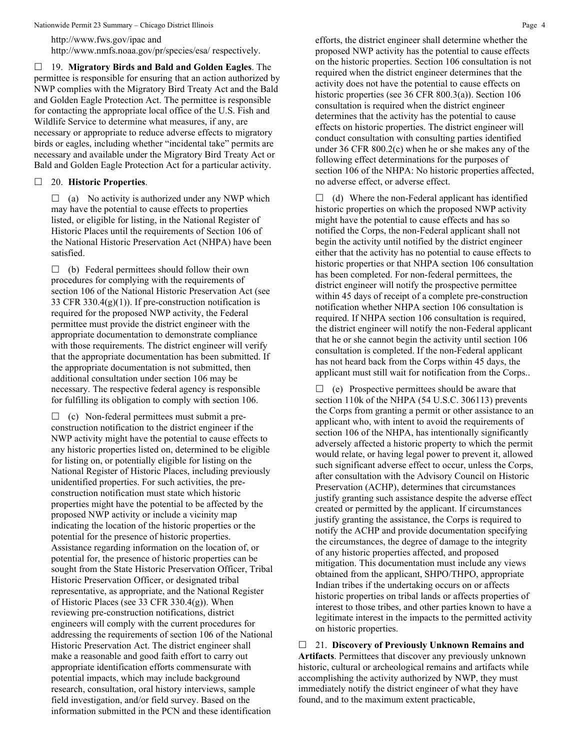http://www.fws.gov/ipac and http://www.nmfs.noaa.gov/pr/species/esa/ respectively.

 19. **Migratory Birds and Bald and Golden Eagles**. The permittee is responsible for ensuring that an action authorized by NWP complies with the Migratory Bird Treaty Act and the Bald and Golden Eagle Protection Act. The permittee is responsible for contacting the appropriate local office of the U.S. Fish and Wildlife Service to determine what measures, if any, are necessary or appropriate to reduce adverse effects to migratory birds or eagles, including whether "incidental take" permits are necessary and available under the Migratory Bird Treaty Act or Bald and Golden Eagle Protection Act for a particular activity.

## 20. **Historic Properties**.

 $\Box$  (a) No activity is authorized under any NWP which may have the potential to cause effects to properties listed, or eligible for listing, in the National Register of Historic Places until the requirements of Section 106 of the National Historic Preservation Act (NHPA) have been satisfied.

 $\Box$  (b) Federal permittees should follow their own procedures for complying with the requirements of section 106 of the National Historic Preservation Act (see 33 CFR 330.4 $(g)(1)$ ). If pre-construction notification is required for the proposed NWP activity, the Federal permittee must provide the district engineer with the appropriate documentation to demonstrate compliance with those requirements. The district engineer will verify that the appropriate documentation has been submitted. If the appropriate documentation is not submitted, then additional consultation under section 106 may be necessary. The respective federal agency is responsible for fulfilling its obligation to comply with section 106.

 $\Box$  (c) Non-federal permittees must submit a preconstruction notification to the district engineer if the NWP activity might have the potential to cause effects to any historic properties listed on, determined to be eligible for listing on, or potentially eligible for listing on the National Register of Historic Places, including previously unidentified properties. For such activities, the preconstruction notification must state which historic properties might have the potential to be affected by the proposed NWP activity or include a vicinity map indicating the location of the historic properties or the potential for the presence of historic properties. Assistance regarding information on the location of, or potential for, the presence of historic properties can be sought from the State Historic Preservation Officer, Tribal Historic Preservation Officer, or designated tribal representative, as appropriate, and the National Register of Historic Places (see 33 CFR  $330.4(g)$ ). When reviewing pre-construction notifications, district engineers will comply with the current procedures for addressing the requirements of section 106 of the National Historic Preservation Act. The district engineer shall make a reasonable and good faith effort to carry out appropriate identification efforts commensurate with potential impacts, which may include background research, consultation, oral history interviews, sample field investigation, and/or field survey. Based on the information submitted in the PCN and these identification

efforts, the district engineer shall determine whether the proposed NWP activity has the potential to cause effects on the historic properties. Section 106 consultation is not required when the district engineer determines that the activity does not have the potential to cause effects on historic properties (see 36 CFR 800.3(a)). Section 106 consultation is required when the district engineer determines that the activity has the potential to cause effects on historic properties. The district engineer will conduct consultation with consulting parties identified under 36 CFR 800.2(c) when he or she makes any of the following effect determinations for the purposes of section 106 of the NHPA: No historic properties affected, no adverse effect, or adverse effect.

 $\Box$  (d) Where the non-Federal applicant has identified historic properties on which the proposed NWP activity might have the potential to cause effects and has so notified the Corps, the non-Federal applicant shall not begin the activity until notified by the district engineer either that the activity has no potential to cause effects to historic properties or that NHPA section 106 consultation has been completed. For non-federal permittees, the district engineer will notify the prospective permittee within 45 days of receipt of a complete pre-construction notification whether NHPA section 106 consultation is required. If NHPA section 106 consultation is required, the district engineer will notify the non-Federal applicant that he or she cannot begin the activity until section 106 consultation is completed. If the non-Federal applicant has not heard back from the Corps within 45 days, the applicant must still wait for notification from the Corps..

 $\Box$  (e) Prospective permittees should be aware that section 110k of the NHPA (54 U.S.C. 306113) prevents the Corps from granting a permit or other assistance to an applicant who, with intent to avoid the requirements of section 106 of the NHPA, has intentionally significantly adversely affected a historic property to which the permit would relate, or having legal power to prevent it, allowed such significant adverse effect to occur, unless the Corps, after consultation with the Advisory Council on Historic Preservation (ACHP), determines that circumstances justify granting such assistance despite the adverse effect created or permitted by the applicant. If circumstances justify granting the assistance, the Corps is required to notify the ACHP and provide documentation specifying the circumstances, the degree of damage to the integrity of any historic properties affected, and proposed mitigation. This documentation must include any views obtained from the applicant, SHPO/THPO, appropriate Indian tribes if the undertaking occurs on or affects historic properties on tribal lands or affects properties of interest to those tribes, and other parties known to have a legitimate interest in the impacts to the permitted activity on historic properties.

 21. **Discovery of Previously Unknown Remains and Artifacts**. Permittees that discover any previously unknown historic, cultural or archeological remains and artifacts while accomplishing the activity authorized by NWP, they must immediately notify the district engineer of what they have found, and to the maximum extent practicable,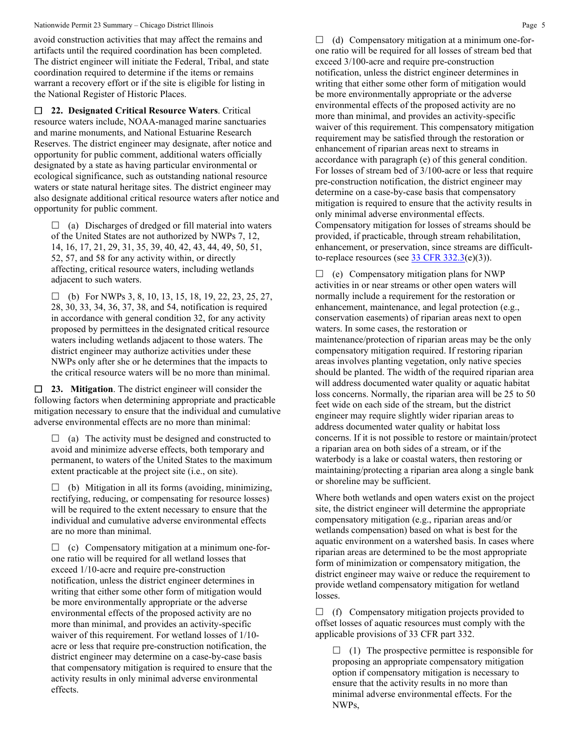avoid construction activities that may affect the remains and artifacts until the required coordination has been completed. The district engineer will initiate the Federal, Tribal, and state coordination required to determine if the items or remains warrant a recovery effort or if the site is eligible for listing in the National Register of Historic Places.

 **22. Designated Critical Resource Waters**. Critical resource waters include, NOAA-managed marine sanctuaries and marine monuments, and National Estuarine Research Reserves. The district engineer may designate, after notice and opportunity for public comment, additional waters officially designated by a state as having particular environmental or ecological significance, such as outstanding national resource waters or state natural heritage sites. The district engineer may also designate additional critical resource waters after notice and opportunity for public comment.

 $\Box$  (a) Discharges of dredged or fill material into waters of the United States are not authorized by NWPs 7, 12, 14, 16, 17, 21, 29, 31, 35, 39, 40, 42, 43, 44, 49, 50, 51, 52, 57, and 58 for any activity within, or directly affecting, critical resource waters, including wetlands adjacent to such waters.

 $\Box$  (b) For NWPs 3, 8, 10, 13, 15, 18, 19, 22, 23, 25, 27, 28, 30, 33, 34, 36, 37, 38, and 54, notification is required in accordance with general condition 32, for any activity proposed by permittees in the designated critical resource waters including wetlands adjacent to those waters. The district engineer may authorize activities under these NWPs only after she or he determines that the impacts to the critical resource waters will be no more than minimal.

 **23. Mitigation**. The district engineer will consider the following factors when determining appropriate and practicable mitigation necessary to ensure that the individual and cumulative adverse environmental effects are no more than minimal:

 $\Box$  (a) The activity must be designed and constructed to avoid and minimize adverse effects, both temporary and permanent, to waters of the United States to the maximum extent practicable at the project site (i.e., on site).

 $\Box$  (b) Mitigation in all its forms (avoiding, minimizing, rectifying, reducing, or compensating for resource losses) will be required to the extent necessary to ensure that the individual and cumulative adverse environmental effects are no more than minimal.

 $\Box$  (c) Compensatory mitigation at a minimum one-forone ratio will be required for all wetland losses that exceed 1/10-acre and require pre-construction notification, unless the district engineer determines in writing that either some other form of mitigation would be more environmentally appropriate or the adverse environmental effects of the proposed activity are no more than minimal, and provides an activity-specific waiver of this requirement. For wetland losses of 1/10 acre or less that require pre-construction notification, the district engineer may determine on a case-by-case basis that compensatory mitigation is required to ensure that the activity results in only minimal adverse environmental effects.

 $\Box$  (d) Compensatory mitigation at a minimum one-forone ratio will be required for all losses of stream bed that exceed 3/100-acre and require pre-construction notification, unless the district engineer determines in writing that either some other form of mitigation would be more environmentally appropriate or the adverse environmental effects of the proposed activity are no more than minimal, and provides an activity-specific waiver of this requirement. This compensatory mitigation requirement may be satisfied through the restoration or enhancement of riparian areas next to streams in accordance with paragraph (e) of this general condition. For losses of stream bed of 3/100-acre or less that require pre-construction notification, the district engineer may determine on a case-by-case basis that compensatory mitigation is required to ensure that the activity results in only minimal adverse environmental effects. Compensatory mitigation for losses of streams should be provided, if practicable, through stream rehabilitation, enhancement, or preservation, since streams are difficultto-replace resources (see  $33 \text{ CFR } 332.3(e)(3)$ ).

 $\Box$  (e) Compensatory mitigation plans for NWP activities in or near streams or other open waters will normally include a requirement for the restoration or enhancement, maintenance, and legal protection (e.g., conservation easements) of riparian areas next to open waters. In some cases, the restoration or maintenance/protection of riparian areas may be the only compensatory mitigation required. If restoring riparian areas involves planting vegetation, only native species should be planted. The width of the required riparian area will address documented water quality or aquatic habitat loss concerns. Normally, the riparian area will be 25 to 50 feet wide on each side of the stream, but the district engineer may require slightly wider riparian areas to address documented water quality or habitat loss concerns. If it is not possible to restore or maintain/protect a riparian area on both sides of a stream, or if the waterbody is a lake or coastal waters, then restoring or maintaining/protecting a riparian area along a single bank or shoreline may be sufficient.

Where both wetlands and open waters exist on the project site, the district engineer will determine the appropriate compensatory mitigation (e.g., riparian areas and/or wetlands compensation) based on what is best for the aquatic environment on a watershed basis. In cases where riparian areas are determined to be the most appropriate form of minimization or compensatory mitigation, the district engineer may waive or reduce the requirement to provide wetland compensatory mitigation for wetland losses.

 $\Box$  (f) Compensatory mitigation projects provided to offset losses of aquatic resources must comply with the applicable provisions of 33 CFR part 332.

 $\Box$  (1) The prospective permittee is responsible for proposing an appropriate compensatory mitigation option if compensatory mitigation is necessary to ensure that the activity results in no more than minimal adverse environmental effects. For the NWPs,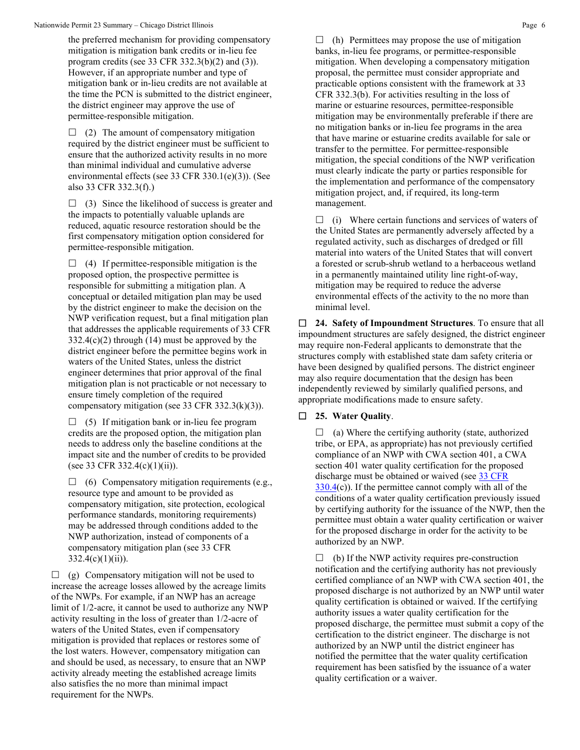the preferred mechanism for providing compensatory mitigation is mitigation bank credits or in-lieu fee program credits (see 33 CFR 332.3(b)(2) and (3)). However, if an appropriate number and type of mitigation bank or in-lieu credits are not available at the time the PCN is submitted to the district engineer, the district engineer may approve the use of permittee-responsible mitigation.

 $\Box$  (2) The amount of compensatory mitigation required by the district engineer must be sufficient to ensure that the authorized activity results in no more than minimal individual and cumulative adverse environmental effects (see 33 CFR 330.1(e)(3)). (See also 33 CFR 332.3(f).)

 $\Box$  (3) Since the likelihood of success is greater and the impacts to potentially valuable uplands are reduced, aquatic resource restoration should be the first compensatory mitigation option considered for permittee-responsible mitigation.

 $\Box$  (4) If permittee-responsible mitigation is the proposed option, the prospective permittee is responsible for submitting a mitigation plan. A conceptual or detailed mitigation plan may be used by the district engineer to make the decision on the NWP verification request, but a final mitigation plan that addresses the applicable requirements of 33 CFR  $332.4(c)(2)$  through (14) must be approved by the district engineer before the permittee begins work in waters of the United States, unless the district engineer determines that prior approval of the final mitigation plan is not practicable or not necessary to ensure timely completion of the required compensatory mitigation (see 33 CFR 332.3(k)(3)).

 $\Box$  (5) If mitigation bank or in-lieu fee program credits are the proposed option, the mitigation plan needs to address only the baseline conditions at the impact site and the number of credits to be provided (see 33 CFR 332.4(c)(1)(ii)).

 $\Box$  (6) Compensatory mitigation requirements (e.g., resource type and amount to be provided as compensatory mitigation, site protection, ecological performance standards, monitoring requirements) may be addressed through conditions added to the NWP authorization, instead of components of a compensatory mitigation plan (see 33 CFR  $332.4(c)(1)(ii)$ .

 $\Box$  (g) Compensatory mitigation will not be used to increase the acreage losses allowed by the acreage limits of the NWPs. For example, if an NWP has an acreage limit of 1/2-acre, it cannot be used to authorize any NWP activity resulting in the loss of greater than 1/2-acre of waters of the United States, even if compensatory mitigation is provided that replaces or restores some of the lost waters. However, compensatory mitigation can and should be used, as necessary, to ensure that an NWP activity already meeting the established acreage limits also satisfies the no more than minimal impact requirement for the NWPs.

 $\Box$  (h) Permittees may propose the use of mitigation banks, in-lieu fee programs, or permittee-responsible mitigation. When developing a compensatory mitigation proposal, the permittee must consider appropriate and practicable options consistent with the framework at 33 CFR 332.3(b). For activities resulting in the loss of marine or estuarine resources, permittee-responsible mitigation may be environmentally preferable if there are no mitigation banks or in-lieu fee programs in the area that have marine or estuarine credits available for sale or transfer to the permittee. For permittee-responsible mitigation, the special conditions of the NWP verification must clearly indicate the party or parties responsible for the implementation and performance of the compensatory mitigation project, and, if required, its long-term management.

 $\Box$  (i) Where certain functions and services of waters of the United States are permanently adversely affected by a regulated activity, such as discharges of dredged or fill material into waters of the United States that will convert a forested or scrub-shrub wetland to a herbaceous wetland in a permanently maintained utility line right-of-way, mitigation may be required to reduce the adverse environmental effects of the activity to the no more than minimal level.

 **24. Safety of Impoundment Structures**. To ensure that all impoundment structures are safely designed, the district engineer may require non-Federal applicants to demonstrate that the structures comply with established state dam safety criteria or have been designed by qualified persons. The district engineer may also require documentation that the design has been independently reviewed by similarly qualified persons, and appropriate modifications made to ensure safety.

## **25. Water Quality**.

 $\Box$  (a) Where the certifying authority (state, authorized tribe, or EPA, as appropriate) has not previously certified compliance of an NWP with CWA section 401, a CWA section 401 water quality certification for the proposed discharge must be obtained or waived (see 33 CFR [330.4\(](https://www.federalregister.gov/select-citation/2021/01/13/33-CFR-330.4)c)). If the permittee cannot comply with all of the conditions of a water quality certification previously issued by certifying authority for the issuance of the NWP, then the permittee must obtain a water quality certification or waiver for the proposed discharge in order for the activity to be authorized by an NWP.

 $\Box$  (b) If the NWP activity requires pre-construction notification and the certifying authority has not previously certified compliance of an NWP with CWA section 401, the proposed discharge is not authorized by an NWP until water quality certification is obtained or waived. If the certifying authority issues a water quality certification for the proposed discharge, the permittee must submit a copy of the certification to the district engineer. The discharge is not authorized by an NWP until the district engineer has notified the permittee that the water quality certification requirement has been satisfied by the issuance of a water quality certification or a waiver.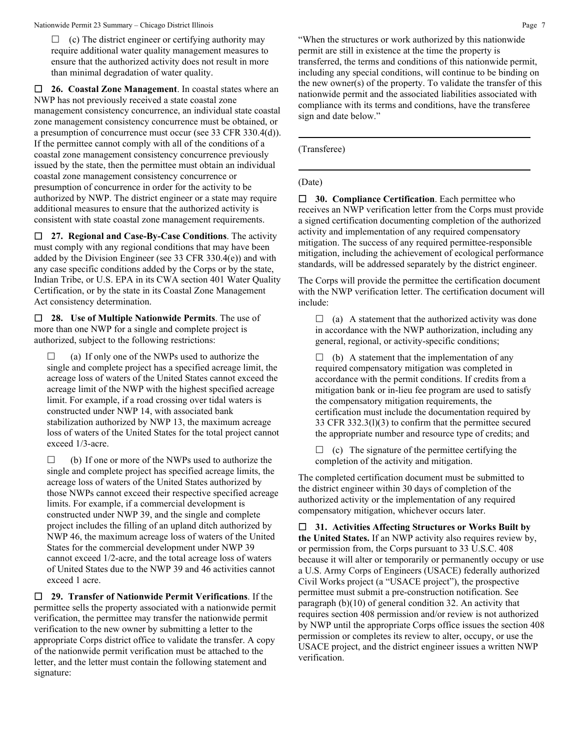$\Box$  (c) The district engineer or certifying authority may require additional water quality management measures to ensure that the authorized activity does not result in more than minimal degradation of water quality.

 **26. Coastal Zone Management**. In coastal states where an NWP has not previously received a state coastal zone management consistency concurrence, an individual state coastal zone management consistency concurrence must be obtained, or a presumption of concurrence must occur (see 33 CFR 330.4(d)). If the permittee cannot comply with all of the conditions of a coastal zone management consistency concurrence previously issued by the state, then the permittee must obtain an individual coastal zone management consistency concurrence or presumption of concurrence in order for the activity to be authorized by NWP. The district engineer or a state may require additional measures to ensure that the authorized activity is consistent with state coastal zone management requirements.

 **27. Regional and Case-By-Case Conditions**. The activity must comply with any regional conditions that may have been added by the Division Engineer (see 33 CFR 330.4(e)) and with any case specific conditions added by the Corps or by the state, Indian Tribe, or U.S. EPA in its CWA section 401 Water Quality Certification, or by the state in its Coastal Zone Management Act consistency determination.

 **28. Use of Multiple Nationwide Permits**. The use of more than one NWP for a single and complete project is authorized, subject to the following restrictions:

 $\Box$  (a) If only one of the NWPs used to authorize the single and complete project has a specified acreage limit, the acreage loss of waters of the United States cannot exceed the acreage limit of the NWP with the highest specified acreage limit. For example, if a road crossing over tidal waters is constructed under NWP 14, with associated bank stabilization authorized by NWP 13, the maximum acreage loss of waters of the United States for the total project cannot exceed 1/3-acre.

 $\Box$  (b) If one or more of the NWPs used to authorize the single and complete project has specified acreage limits, the acreage loss of waters of the United States authorized by those NWPs cannot exceed their respective specified acreage limits. For example, if a commercial development is constructed under NWP 39, and the single and complete project includes the filling of an upland ditch authorized by NWP 46, the maximum acreage loss of waters of the United States for the commercial development under NWP 39 cannot exceed 1/2-acre, and the total acreage loss of waters of United States due to the NWP 39 and 46 activities cannot exceed 1 acre.

 **29. Transfer of Nationwide Permit Verifications**. If the permittee sells the property associated with a nationwide permit verification, the permittee may transfer the nationwide permit verification to the new owner by submitting a letter to the appropriate Corps district office to validate the transfer. A copy of the nationwide permit verification must be attached to the letter, and the letter must contain the following statement and signature:

"When the structures or work authorized by this nationwide permit are still in existence at the time the property is transferred, the terms and conditions of this nationwide permit, including any special conditions, will continue to be binding on the new owner(s) of the property. To validate the transfer of this nationwide permit and the associated liabilities associated with compliance with its terms and conditions, have the transferee sign and date below."

(Transferee)

## (Date)

 **30. Compliance Certification**. Each permittee who receives an NWP verification letter from the Corps must provide a signed certification documenting completion of the authorized activity and implementation of any required compensatory mitigation. The success of any required permittee-responsible mitigation, including the achievement of ecological performance standards, will be addressed separately by the district engineer.

The Corps will provide the permittee the certification document with the NWP verification letter. The certification document will include:

 $\Box$  (a) A statement that the authorized activity was done in accordance with the NWP authorization, including any general, regional, or activity-specific conditions;

 $\Box$  (b) A statement that the implementation of any required compensatory mitigation was completed in accordance with the permit conditions. If credits from a mitigation bank or in-lieu fee program are used to satisfy the compensatory mitigation requirements, the certification must include the documentation required by 33 CFR 332.3(l)(3) to confirm that the permittee secured the appropriate number and resource type of credits; and

 $\Box$  (c) The signature of the permittee certifying the completion of the activity and mitigation.

The completed certification document must be submitted to the district engineer within 30 days of completion of the authorized activity or the implementation of any required compensatory mitigation, whichever occurs later.

 **31. Activities Affecting Structures or Works Built by the United States.** If an NWP activity also requires review by, or permission from, the Corps pursuant to 33 U.S.C. 408 because it will alter or temporarily or permanently occupy or use a U.S. Army Corps of Engineers (USACE) federally authorized Civil Works project (a "USACE project"), the prospective permittee must submit a pre-construction notification. See paragraph (b)(10) of general condition 32. An activity that requires section 408 permission and/or review is not authorized by NWP until the appropriate Corps office issues the section 408 permission or completes its review to alter, occupy, or use the USACE project, and the district engineer issues a written NWP verification.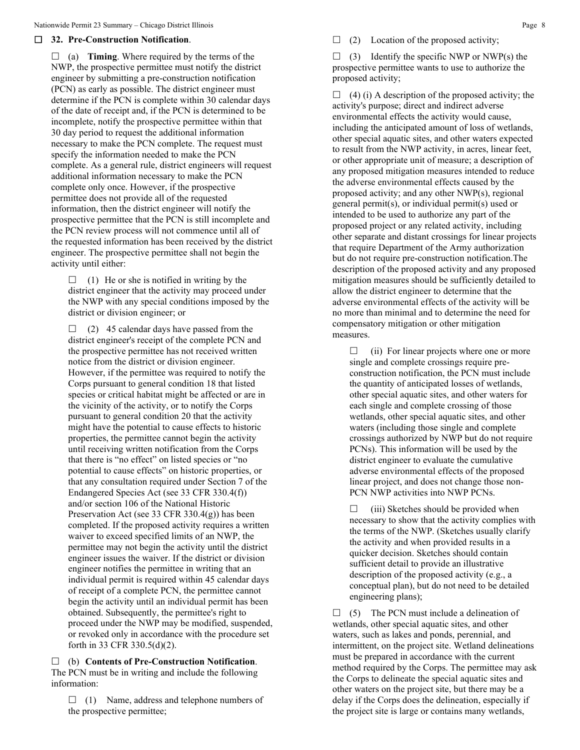#### **32. Pre-Construction Notification**.

 $\Box$  (a) **Timing**. Where required by the terms of the NWP, the prospective permittee must notify the district engineer by submitting a pre-construction notification (PCN) as early as possible. The district engineer must determine if the PCN is complete within 30 calendar days of the date of receipt and, if the PCN is determined to be incomplete, notify the prospective permittee within that 30 day period to request the additional information necessary to make the PCN complete. The request must specify the information needed to make the PCN complete. As a general rule, district engineers will request additional information necessary to make the PCN complete only once. However, if the prospective permittee does not provide all of the requested information, then the district engineer will notify the prospective permittee that the PCN is still incomplete and the PCN review process will not commence until all of the requested information has been received by the district engineer. The prospective permittee shall not begin the activity until either:

 $\Box$  (1) He or she is notified in writing by the district engineer that the activity may proceed under the NWP with any special conditions imposed by the district or division engineer; or

 $\Box$  (2) 45 calendar days have passed from the district engineer's receipt of the complete PCN and the prospective permittee has not received written notice from the district or division engineer. However, if the permittee was required to notify the Corps pursuant to general condition 18 that listed species or critical habitat might be affected or are in the vicinity of the activity, or to notify the Corps pursuant to general condition 20 that the activity might have the potential to cause effects to historic properties, the permittee cannot begin the activity until receiving written notification from the Corps that there is "no effect" on listed species or "no potential to cause effects" on historic properties, or that any consultation required under Section 7 of the Endangered Species Act (see 33 CFR 330.4(f)) and/or section 106 of the National Historic Preservation Act (see 33 CFR 330.4(g)) has been completed. If the proposed activity requires a written waiver to exceed specified limits of an NWP, the permittee may not begin the activity until the district engineer issues the waiver. If the district or division engineer notifies the permittee in writing that an individual permit is required within 45 calendar days of receipt of a complete PCN, the permittee cannot begin the activity until an individual permit has been obtained. Subsequently, the permittee's right to proceed under the NWP may be modified, suspended, or revoked only in accordance with the procedure set forth in 33 CFR 330.5(d)(2).

 (b) **Contents of Pre-Construction Notification**. The PCN must be in writing and include the following information:

 $\Box$  (1) Name, address and telephone numbers of the prospective permittee;

 $\Box$  (2) Location of the proposed activity;

 $\Box$  (3) Identify the specific NWP or NWP(s) the prospective permittee wants to use to authorize the proposed activity;

 $\Box$  (4) (i) A description of the proposed activity; the activity's purpose; direct and indirect adverse environmental effects the activity would cause, including the anticipated amount of loss of wetlands, other special aquatic sites, and other waters expected to result from the NWP activity, in acres, linear feet, or other appropriate unit of measure; a description of any proposed mitigation measures intended to reduce the adverse environmental effects caused by the proposed activity; and any other NWP(s), regional general permit(s), or individual permit(s) used or intended to be used to authorize any part of the proposed project or any related activity, including other separate and distant crossings for linear projects that require Department of the Army authorization but do not require pre-construction notification.The description of the proposed activity and any proposed mitigation measures should be sufficiently detailed to allow the district engineer to determine that the adverse environmental effects of the activity will be no more than minimal and to determine the need for compensatory mitigation or other mitigation measures.

 $\Box$  (ii) For linear projects where one or more single and complete crossings require preconstruction notification, the PCN must include the quantity of anticipated losses of wetlands, other special aquatic sites, and other waters for each single and complete crossing of those wetlands, other special aquatic sites, and other waters (including those single and complete crossings authorized by NWP but do not require PCNs). This information will be used by the district engineer to evaluate the cumulative adverse environmental effects of the proposed linear project, and does not change those non-PCN NWP activities into NWP PCNs.

 $\Box$  (iii) Sketches should be provided when necessary to show that the activity complies with the terms of the NWP. (Sketches usually clarify the activity and when provided results in a quicker decision. Sketches should contain sufficient detail to provide an illustrative description of the proposed activity (e.g., a conceptual plan), but do not need to be detailed engineering plans);

 $\Box$  (5) The PCN must include a delineation of wetlands, other special aquatic sites, and other waters, such as lakes and ponds, perennial, and intermittent, on the project site. Wetland delineations must be prepared in accordance with the current method required by the Corps. The permittee may ask the Corps to delineate the special aquatic sites and other waters on the project site, but there may be a delay if the Corps does the delineation, especially if the project site is large or contains many wetlands,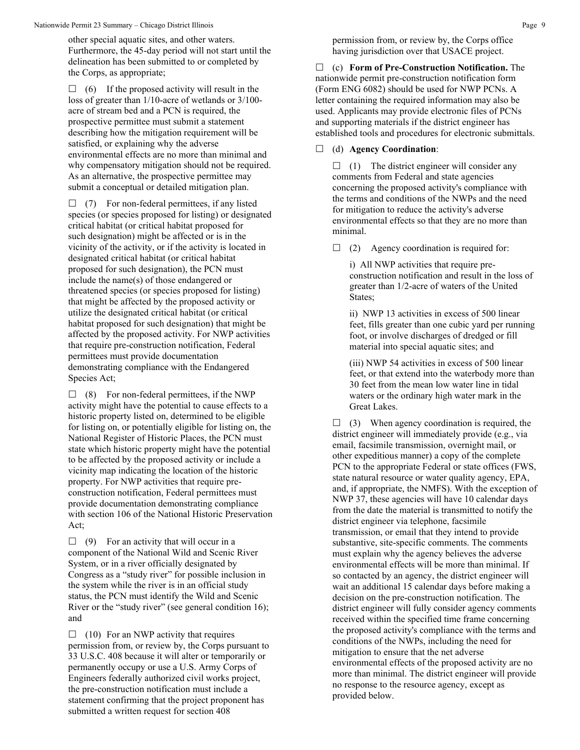other special aquatic sites, and other waters. Furthermore, the 45-day period will not start until the delineation has been submitted to or completed by the Corps, as appropriate;

 $\Box$  (6) If the proposed activity will result in the loss of greater than 1/10-acre of wetlands or 3/100 acre of stream bed and a PCN is required, the prospective permittee must submit a statement describing how the mitigation requirement will be satisfied, or explaining why the adverse environmental effects are no more than minimal and why compensatory mitigation should not be required. As an alternative, the prospective permittee may submit a conceptual or detailed mitigation plan.

 $\Box$  (7) For non-federal permittees, if any listed species (or species proposed for listing) or designated critical habitat (or critical habitat proposed for such designation) might be affected or is in the vicinity of the activity, or if the activity is located in designated critical habitat (or critical habitat proposed for such designation), the PCN must include the name(s) of those endangered or threatened species (or species proposed for listing) that might be affected by the proposed activity or utilize the designated critical habitat (or critical habitat proposed for such designation) that might be affected by the proposed activity. For NWP activities that require pre-construction notification, Federal permittees must provide documentation demonstrating compliance with the Endangered Species Act;

 $\Box$  (8) For non-federal permittees, if the NWP activity might have the potential to cause effects to a historic property listed on, determined to be eligible for listing on, or potentially eligible for listing on, the National Register of Historic Places, the PCN must state which historic property might have the potential to be affected by the proposed activity or include a vicinity map indicating the location of the historic property. For NWP activities that require preconstruction notification, Federal permittees must provide documentation demonstrating compliance with section 106 of the National Historic Preservation Act;

 $\Box$  (9) For an activity that will occur in a component of the National Wild and Scenic River System, or in a river officially designated by Congress as a "study river" for possible inclusion in the system while the river is in an official study status, the PCN must identify the Wild and Scenic River or the "study river" (see general condition 16); and

 $\Box$  (10) For an NWP activity that requires permission from, or review by, the Corps pursuant to 33 U.S.C. 408 because it will alter or temporarily or permanently occupy or use a U.S. Army Corps of Engineers federally authorized civil works project, the pre-construction notification must include a statement confirming that the project proponent has submitted a written request for section 408

permission from, or review by, the Corps office having jurisdiction over that USACE project.

 (c) **Form of Pre-Construction Notification.** The nationwide permit pre-construction notification form (Form ENG 6082) should be used for NWP PCNs. A letter containing the required information may also be used. Applicants may provide electronic files of PCNs and supporting materials if the district engineer has established tools and procedures for electronic submittals.

(d) **Agency Coordination**:

 $\Box$  (1) The district engineer will consider any comments from Federal and state agencies concerning the proposed activity's compliance with the terms and conditions of the NWPs and the need for mitigation to reduce the activity's adverse environmental effects so that they are no more than minimal.

 $\Box$  (2) Agency coordination is required for:

i) All NWP activities that require preconstruction notification and result in the loss of greater than 1/2-acre of waters of the United States;

ii) NWP 13 activities in excess of 500 linear feet, fills greater than one cubic yard per running foot, or involve discharges of dredged or fill material into special aquatic sites; and

(iii) NWP 54 activities in excess of 500 linear feet, or that extend into the waterbody more than 30 feet from the mean low water line in tidal waters or the ordinary high water mark in the Great Lakes.

 $\Box$  (3) When agency coordination is required, the district engineer will immediately provide (e.g., via email, facsimile transmission, overnight mail, or other expeditious manner) a copy of the complete PCN to the appropriate Federal or state offices (FWS, state natural resource or water quality agency, EPA, and, if appropriate, the NMFS). With the exception of NWP 37, these agencies will have 10 calendar days from the date the material is transmitted to notify the district engineer via telephone, facsimile transmission, or email that they intend to provide substantive, site-specific comments. The comments must explain why the agency believes the adverse environmental effects will be more than minimal. If so contacted by an agency, the district engineer will wait an additional 15 calendar days before making a decision on the pre-construction notification. The district engineer will fully consider agency comments received within the specified time frame concerning the proposed activity's compliance with the terms and conditions of the NWPs, including the need for mitigation to ensure that the net adverse environmental effects of the proposed activity are no more than minimal. The district engineer will provide no response to the resource agency, except as provided below.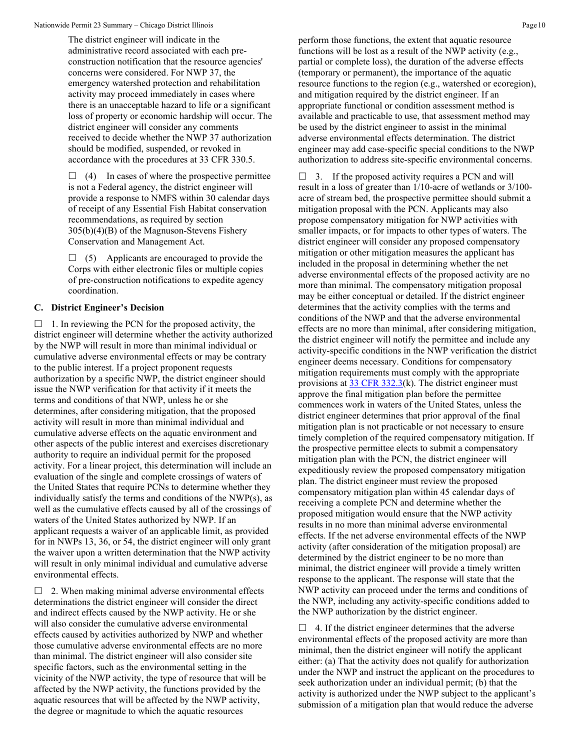The district engineer will indicate in the administrative record associated with each preconstruction notification that the resource agencies' concerns were considered. For NWP 37, the emergency watershed protection and rehabilitation activity may proceed immediately in cases where there is an unacceptable hazard to life or a significant loss of property or economic hardship will occur. The district engineer will consider any comments received to decide whether the NWP 37 authorization should be modified, suspended, or revoked in accordance with the procedures at 33 CFR 330.5.

 $\Box$  (4) In cases of where the prospective permittee is not a Federal agency, the district engineer will provide a response to NMFS within 30 calendar days of receipt of any Essential Fish Habitat conservation recommendations, as required by section 305(b)(4)(B) of the Magnuson-Stevens Fishery Conservation and Management Act.

 $\Box$  (5) Applicants are encouraged to provide the Corps with either electronic files or multiple copies of pre-construction notifications to expedite agency coordination.

#### **C. District Engineer's Decision**

 $\Box$  1. In reviewing the PCN for the proposed activity, the district engineer will determine whether the activity authorized by the NWP will result in more than minimal individual or cumulative adverse environmental effects or may be contrary to the public interest. If a project proponent requests authorization by a specific NWP, the district engineer should issue the NWP verification for that activity if it meets the terms and conditions of that NWP, unless he or she determines, after considering mitigation, that the proposed activity will result in more than minimal individual and cumulative adverse effects on the aquatic environment and other aspects of the public interest and exercises discretionary authority to require an individual permit for the proposed activity. For a linear project, this determination will include an evaluation of the single and complete crossings of waters of the United States that require PCNs to determine whether they individually satisfy the terms and conditions of the NWP(s), as well as the cumulative effects caused by all of the crossings of waters of the United States authorized by NWP. If an applicant requests a waiver of an applicable limit, as provided for in NWPs 13, 36, or 54, the district engineer will only grant the waiver upon a written determination that the NWP activity will result in only minimal individual and cumulative adverse environmental effects.

 $\Box$  2. When making minimal adverse environmental effects determinations the district engineer will consider the direct and indirect effects caused by the NWP activity. He or she will also consider the cumulative adverse environmental effects caused by activities authorized by NWP and whether those cumulative adverse environmental effects are no more than minimal. The district engineer will also consider site specific factors, such as the environmental setting in the vicinity of the NWP activity, the type of resource that will be affected by the NWP activity, the functions provided by the aquatic resources that will be affected by the NWP activity, the degree or magnitude to which the aquatic resources

perform those functions, the extent that aquatic resource functions will be lost as a result of the NWP activity (e.g., partial or complete loss), the duration of the adverse effects (temporary or permanent), the importance of the aquatic resource functions to the region (e.g., watershed or ecoregion), and mitigation required by the district engineer. If an appropriate functional or condition assessment method is available and practicable to use, that assessment method may be used by the district engineer to assist in the minimal adverse environmental effects determination. The district engineer may add case-specific special conditions to the NWP authorization to address site-specific environmental concerns.

 $\Box$  3. If the proposed activity requires a PCN and will result in a loss of greater than 1/10-acre of wetlands or 3/100 acre of stream bed, the prospective permittee should submit a mitigation proposal with the PCN. Applicants may also propose compensatory mitigation for NWP activities with smaller impacts, or for impacts to other types of waters. The district engineer will consider any proposed compensatory mitigation or other mitigation measures the applicant has included in the proposal in determining whether the net adverse environmental effects of the proposed activity are no more than minimal. The compensatory mitigation proposal may be either conceptual or detailed. If the district engineer determines that the activity complies with the terms and conditions of the NWP and that the adverse environmental effects are no more than minimal, after considering mitigation, the district engineer will notify the permittee and include any activity-specific conditions in the NWP verification the district engineer deems necessary. Conditions for compensatory mitigation requirements must comply with the appropriate provisions at  $33 \text{ CFR } 332.3(k)$ . The district engineer must approve the final mitigation plan before the permittee commences work in waters of the United States, unless the district engineer determines that prior approval of the final mitigation plan is not practicable or not necessary to ensure timely completion of the required compensatory mitigation. If the prospective permittee elects to submit a compensatory mitigation plan with the PCN, the district engineer will expeditiously review the proposed compensatory mitigation plan. The district engineer must review the proposed compensatory mitigation plan within 45 calendar days of receiving a complete PCN and determine whether the proposed mitigation would ensure that the NWP activity results in no more than minimal adverse environmental effects. If the net adverse environmental effects of the NWP activity (after consideration of the mitigation proposal) are determined by the district engineer to be no more than minimal, the district engineer will provide a timely written response to the applicant. The response will state that the NWP activity can proceed under the terms and conditions of the NWP, including any activity-specific conditions added to the NWP authorization by the district engineer.

 $\Box$  4. If the district engineer determines that the adverse environmental effects of the proposed activity are more than minimal, then the district engineer will notify the applicant either: (a) That the activity does not qualify for authorization under the NWP and instruct the applicant on the procedures to seek authorization under an individual permit; (b) that the activity is authorized under the NWP subject to the applicant's submission of a mitigation plan that would reduce the adverse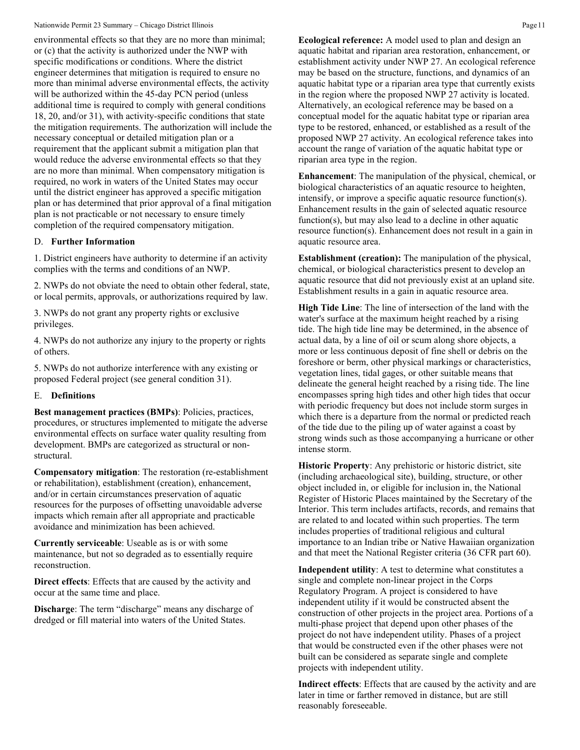environmental effects so that they are no more than minimal; or (c) that the activity is authorized under the NWP with specific modifications or conditions. Where the district engineer determines that mitigation is required to ensure no more than minimal adverse environmental effects, the activity will be authorized within the 45-day PCN period (unless additional time is required to comply with general conditions 18, 20, and/or 31), with activity-specific conditions that state the mitigation requirements. The authorization will include the necessary conceptual or detailed mitigation plan or a requirement that the applicant submit a mitigation plan that would reduce the adverse environmental effects so that they are no more than minimal. When compensatory mitigation is required, no work in waters of the United States may occur until the district engineer has approved a specific mitigation plan or has determined that prior approval of a final mitigation plan is not practicable or not necessary to ensure timely completion of the required compensatory mitigation.

#### D. **Further Information**

1. District engineers have authority to determine if an activity complies with the terms and conditions of an NWP.

2. NWPs do not obviate the need to obtain other federal, state, or local permits, approvals, or authorizations required by law.

3. NWPs do not grant any property rights or exclusive privileges.

4. NWPs do not authorize any injury to the property or rights of others.

5. NWPs do not authorize interference with any existing or proposed Federal project (see general condition 31).

#### E. **Definitions**

**Best management practices (BMPs)**: Policies, practices, procedures, or structures implemented to mitigate the adverse environmental effects on surface water quality resulting from development. BMPs are categorized as structural or nonstructural.

**Compensatory mitigation**: The restoration (re-establishment or rehabilitation), establishment (creation), enhancement, and/or in certain circumstances preservation of aquatic resources for the purposes of offsetting unavoidable adverse impacts which remain after all appropriate and practicable avoidance and minimization has been achieved.

**Currently serviceable**: Useable as is or with some maintenance, but not so degraded as to essentially require reconstruction.

**Direct effects**: Effects that are caused by the activity and occur at the same time and place.

**Discharge**: The term "discharge" means any discharge of dredged or fill material into waters of the United States.

**Ecological reference:** A model used to plan and design an aquatic habitat and riparian area restoration, enhancement, or establishment activity under NWP 27. An ecological reference may be based on the structure, functions, and dynamics of an aquatic habitat type or a riparian area type that currently exists in the region where the proposed NWP 27 activity is located. Alternatively, an ecological reference may be based on a conceptual model for the aquatic habitat type or riparian area type to be restored, enhanced, or established as a result of the proposed NWP 27 activity. An ecological reference takes into account the range of variation of the aquatic habitat type or riparian area type in the region.

**Enhancement**: The manipulation of the physical, chemical, or biological characteristics of an aquatic resource to heighten, intensify, or improve a specific aquatic resource function(s). Enhancement results in the gain of selected aquatic resource function(s), but may also lead to a decline in other aquatic resource function(s). Enhancement does not result in a gain in aquatic resource area.

**Establishment (creation):** The manipulation of the physical, chemical, or biological characteristics present to develop an aquatic resource that did not previously exist at an upland site. Establishment results in a gain in aquatic resource area.

**High Tide Line**: The line of intersection of the land with the water's surface at the maximum height reached by a rising tide. The high tide line may be determined, in the absence of actual data, by a line of oil or scum along shore objects, a more or less continuous deposit of fine shell or debris on the foreshore or berm, other physical markings or characteristics, vegetation lines, tidal gages, or other suitable means that delineate the general height reached by a rising tide. The line encompasses spring high tides and other high tides that occur with periodic frequency but does not include storm surges in which there is a departure from the normal or predicted reach of the tide due to the piling up of water against a coast by strong winds such as those accompanying a hurricane or other intense storm.

**Historic Property**: Any prehistoric or historic district, site (including archaeological site), building, structure, or other object included in, or eligible for inclusion in, the National Register of Historic Places maintained by the Secretary of the Interior. This term includes artifacts, records, and remains that are related to and located within such properties. The term includes properties of traditional religious and cultural importance to an Indian tribe or Native Hawaiian organization and that meet the National Register criteria (36 CFR part 60).

**Independent utility**: A test to determine what constitutes a single and complete non-linear project in the Corps Regulatory Program. A project is considered to have independent utility if it would be constructed absent the construction of other projects in the project area. Portions of a multi-phase project that depend upon other phases of the project do not have independent utility. Phases of a project that would be constructed even if the other phases were not built can be considered as separate single and complete projects with independent utility.

**Indirect effects**: Effects that are caused by the activity and are later in time or farther removed in distance, but are still reasonably foreseeable.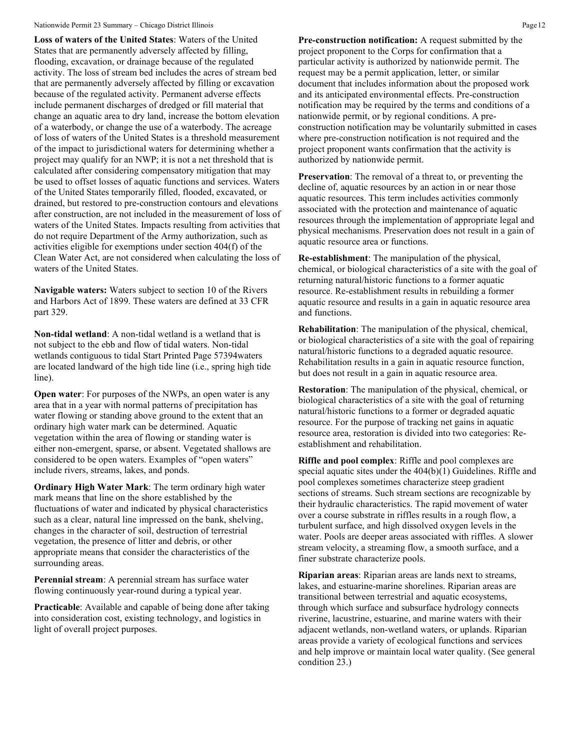**Loss of waters of the United States**: Waters of the United States that are permanently adversely affected by filling, flooding, excavation, or drainage because of the regulated activity. The loss of stream bed includes the acres of stream bed that are permanently adversely affected by filling or excavation because of the regulated activity. Permanent adverse effects include permanent discharges of dredged or fill material that change an aquatic area to dry land, increase the bottom elevation of a waterbody, or change the use of a waterbody. The acreage of loss of waters of the United States is a threshold measurement of the impact to jurisdictional waters for determining whether a project may qualify for an NWP; it is not a net threshold that is calculated after considering compensatory mitigation that may be used to offset losses of aquatic functions and services. Waters of the United States temporarily filled, flooded, excavated, or drained, but restored to pre-construction contours and elevations after construction, are not included in the measurement of loss of waters of the United States. Impacts resulting from activities that do not require Department of the Army authorization, such as activities eligible for exemptions under section 404(f) of the Clean Water Act, are not considered when calculating the loss of waters of the United States.

**Navigable waters:** Waters subject to section 10 of the Rivers and Harbors Act of 1899. These waters are defined at 33 CFR part 329.

**Non-tidal wetland**: A non-tidal wetland is a wetland that is not subject to the ebb and flow of tidal waters. Non-tidal wetlands contiguous to tidal Start Printed Page 57394waters are located landward of the high tide line (i.e., spring high tide line).

**Open water:** For purposes of the NWPs, an open water is any area that in a year with normal patterns of precipitation has water flowing or standing above ground to the extent that an ordinary high water mark can be determined. Aquatic vegetation within the area of flowing or standing water is either non-emergent, sparse, or absent. Vegetated shallows are considered to be open waters. Examples of "open waters" include rivers, streams, lakes, and ponds.

**Ordinary High Water Mark**: The term ordinary high water mark means that line on the shore established by the fluctuations of water and indicated by physical characteristics such as a clear, natural line impressed on the bank, shelving, changes in the character of soil, destruction of terrestrial vegetation, the presence of litter and debris, or other appropriate means that consider the characteristics of the surrounding areas.

**Perennial stream**: A perennial stream has surface water flowing continuously year-round during a typical year.

**Practicable:** Available and capable of being done after taking into consideration cost, existing technology, and logistics in light of overall project purposes.

**Pre-construction notification:** A request submitted by the project proponent to the Corps for confirmation that a particular activity is authorized by nationwide permit. The request may be a permit application, letter, or similar document that includes information about the proposed work and its anticipated environmental effects. Pre-construction notification may be required by the terms and conditions of a nationwide permit, or by regional conditions. A preconstruction notification may be voluntarily submitted in cases where pre-construction notification is not required and the project proponent wants confirmation that the activity is authorized by nationwide permit.

**Preservation**: The removal of a threat to, or preventing the decline of, aquatic resources by an action in or near those aquatic resources. This term includes activities commonly associated with the protection and maintenance of aquatic resources through the implementation of appropriate legal and physical mechanisms. Preservation does not result in a gain of aquatic resource area or functions.

**Re-establishment**: The manipulation of the physical, chemical, or biological characteristics of a site with the goal of returning natural/historic functions to a former aquatic resource. Re-establishment results in rebuilding a former aquatic resource and results in a gain in aquatic resource area and functions.

**Rehabilitation**: The manipulation of the physical, chemical, or biological characteristics of a site with the goal of repairing natural/historic functions to a degraded aquatic resource. Rehabilitation results in a gain in aquatic resource function, but does not result in a gain in aquatic resource area.

**Restoration**: The manipulation of the physical, chemical, or biological characteristics of a site with the goal of returning natural/historic functions to a former or degraded aquatic resource. For the purpose of tracking net gains in aquatic resource area, restoration is divided into two categories: Reestablishment and rehabilitation.

**Riffle and pool complex**: Riffle and pool complexes are special aquatic sites under the 404(b)(1) Guidelines. Riffle and pool complexes sometimes characterize steep gradient sections of streams. Such stream sections are recognizable by their hydraulic characteristics. The rapid movement of water over a course substrate in riffles results in a rough flow, a turbulent surface, and high dissolved oxygen levels in the water. Pools are deeper areas associated with riffles. A slower stream velocity, a streaming flow, a smooth surface, and a finer substrate characterize pools.

**Riparian areas**: Riparian areas are lands next to streams, lakes, and estuarine-marine shorelines. Riparian areas are transitional between terrestrial and aquatic ecosystems, through which surface and subsurface hydrology connects riverine, lacustrine, estuarine, and marine waters with their adjacent wetlands, non-wetland waters, or uplands. Riparian areas provide a variety of ecological functions and services and help improve or maintain local water quality. (See general condition 23.)